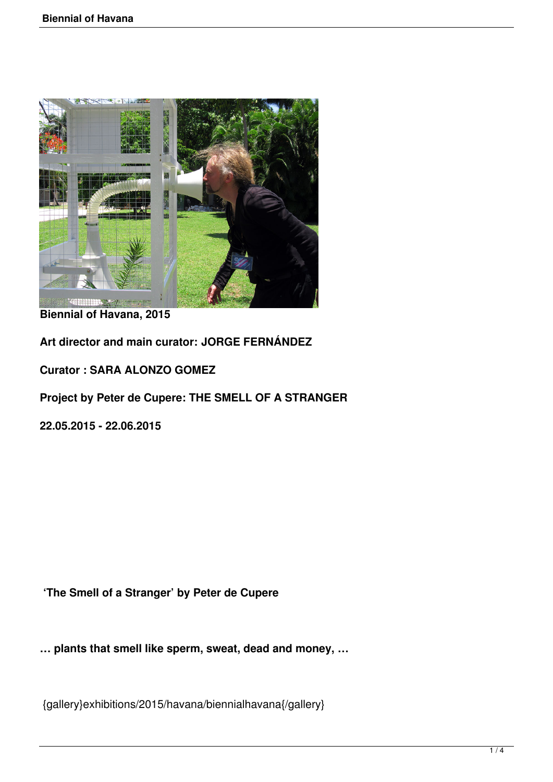

**Biennial of Havana, 2015**

**Art director and main curator: JORGE FERNÁNDEZ**

**Curator : SARA ALONZO GOMEZ**

**Project by Peter de Cupere: THE SMELL OF A STRANGER**

**22.05.2015 - 22.06.2015**

**'The Smell of a Stranger' by Peter de Cupere**

**… plants that smell like sperm, sweat, dead and money, …**

{gallery}exhibitions/2015/havana/biennialhavana{/gallery}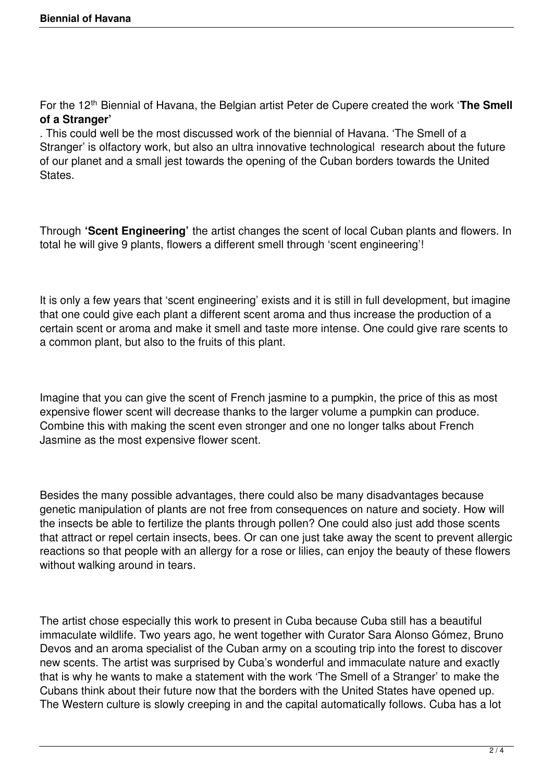For the 12<sup>th</sup> Biennial of Havana, the Belgian artist Peter de Cupere created the work '**The Smell of a Stranger'**

. This could well be the most discussed work of the biennial of Havana. 'The Smell of a Stranger' is olfactory work, but also an ultra innovative technological research about the future of our planet and a small jest towards the opening of the Cuban borders towards the United States.

Through **'Scent Engineering'** the artist changes the scent of local Cuban plants and flowers. In total he will give 9 plants, flowers a different smell through 'scent engineering'!

It is only a few years that 'scent engineering' exists and it is still in full development, but imagine that one could give each plant a different scent aroma and thus increase the production of a certain scent or aroma and make it smell and taste more intense. One could give rare scents to a common plant, but also to the fruits of this plant.

Imagine that you can give the scent of French jasmine to a pumpkin, the price of this as most expensive flower scent will decrease thanks to the larger volume a pumpkin can produce. Combine this with making the scent even stronger and one no longer talks about French Jasmine as the most expensive flower scent.

Besides the many possible advantages, there could also be many disadvantages because genetic manipulation of plants are not free from consequences on nature and society. How will the insects be able to fertilize the plants through pollen? One could also just add those scents that attract or repel certain insects, bees. Or can one just take away the scent to prevent allergic reactions so that people with an allergy for a rose or lilies, can enjoy the beauty of these flowers without walking around in tears.

The artist chose especially this work to present in Cuba because Cuba still has a beautiful immaculate wildlife. Two years ago, he went together with Curator Sara Alonso Gómez, Bruno Devos and an aroma specialist of the Cuban army on a scouting trip into the forest to discover new scents. The artist was surprised by Cuba's wonderful and immaculate nature and exactly that is why he wants to make a statement with the work 'The Smell of a Stranger' to make the Cubans think about their future now that the borders with the United States have opened up. The Western culture is slowly creeping in and the capital automatically follows. Cuba has a lot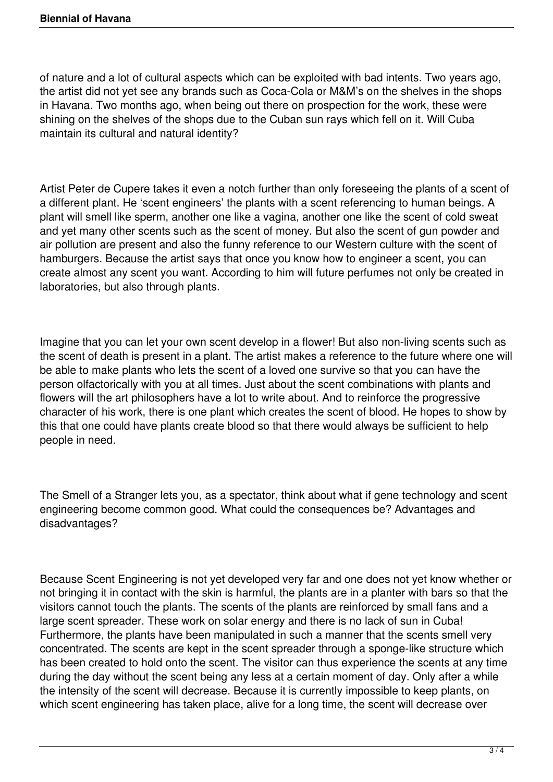of nature and a lot of cultural aspects which can be exploited with bad intents. Two years ago, the artist did not yet see any brands such as Coca-Cola or M&M's on the shelves in the shops in Havana. Two months ago, when being out there on prospection for the work, these were shining on the shelves of the shops due to the Cuban sun rays which fell on it. Will Cuba maintain its cultural and natural identity?

Artist Peter de Cupere takes it even a notch further than only foreseeing the plants of a scent of a different plant. He 'scent engineers' the plants with a scent referencing to human beings. A plant will smell like sperm, another one like a vagina, another one like the scent of cold sweat and yet many other scents such as the scent of money. But also the scent of gun powder and air pollution are present and also the funny reference to our Western culture with the scent of hamburgers. Because the artist says that once you know how to engineer a scent, you can create almost any scent you want. According to him will future perfumes not only be created in laboratories, but also through plants.

Imagine that you can let your own scent develop in a flower! But also non-living scents such as the scent of death is present in a plant. The artist makes a reference to the future where one will be able to make plants who lets the scent of a loved one survive so that you can have the person olfactorically with you at all times. Just about the scent combinations with plants and flowers will the art philosophers have a lot to write about. And to reinforce the progressive character of his work, there is one plant which creates the scent of blood. He hopes to show by this that one could have plants create blood so that there would always be sufficient to help people in need.

The Smell of a Stranger lets you, as a spectator, think about what if gene technology and scent engineering become common good. What could the consequences be? Advantages and disadvantages?

Because Scent Engineering is not yet developed very far and one does not yet know whether or not bringing it in contact with the skin is harmful, the plants are in a planter with bars so that the visitors cannot touch the plants. The scents of the plants are reinforced by small fans and a large scent spreader. These work on solar energy and there is no lack of sun in Cuba! Furthermore, the plants have been manipulated in such a manner that the scents smell very concentrated. The scents are kept in the scent spreader through a sponge-like structure which has been created to hold onto the scent. The visitor can thus experience the scents at any time during the day without the scent being any less at a certain moment of day. Only after a while the intensity of the scent will decrease. Because it is currently impossible to keep plants, on which scent engineering has taken place, alive for a long time, the scent will decrease over